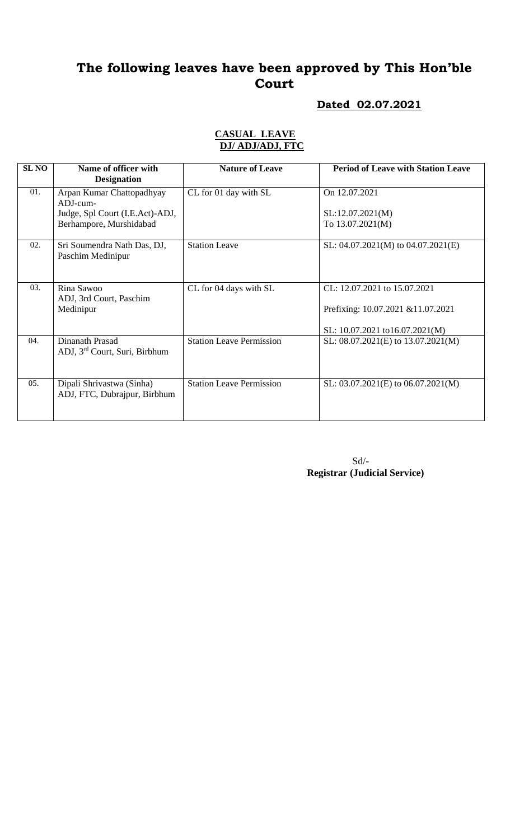# **The following leaves have been approved by This Hon'ble Court**

#### **Dated 02.07.2021**

#### **CASUAL LEAVE DJ/ ADJ/ADJ, FTC**

| <b>SLNO</b> | Name of officer with<br><b>Designation</b>                   | <b>Nature of Leave</b>          | <b>Period of Leave with Station Leave</b> |
|-------------|--------------------------------------------------------------|---------------------------------|-------------------------------------------|
| 01.         | Arpan Kumar Chattopadhyay<br>$ADJ$ -cum-                     | CL for 01 day with SL           | On 12.07.2021                             |
|             | Judge, Spl Court (I.E.Act)-ADJ,                              |                                 | SL:12.07.2021(M)                          |
|             | Berhampore, Murshidabad                                      |                                 | To 13.07.2021(M)                          |
| 02.         | Sri Soumendra Nath Das, DJ,<br>Paschim Medinipur             | <b>Station Leave</b>            | SL: $04.07.2021(M)$ to $04.07.2021(E)$    |
| 03.         | Rina Sawoo                                                   | CL for 04 days with SL          | CL: 12.07.2021 to 15.07.2021              |
|             | ADJ, 3rd Court, Paschim<br>Medinipur                         |                                 | Prefixing: 10.07.2021 &11.07.2021         |
|             |                                                              |                                 | SL: 10.07.2021 to16.07.2021(M)            |
| 04.         | Dinanath Prasad<br>ADJ, 3 <sup>rd</sup> Court, Suri, Birbhum | <b>Station Leave Permission</b> | SL: $08.07.2021(E)$ to $13.07.2021(M)$    |
| 05.         | Dipali Shrivastwa (Sinha)<br>ADJ, FTC, Dubrajpur, Birbhum    | <b>Station Leave Permission</b> | SL: $03.07.2021(E)$ to $06.07.2021(M)$    |

 Sd/- **Registrar (Judicial Service)**